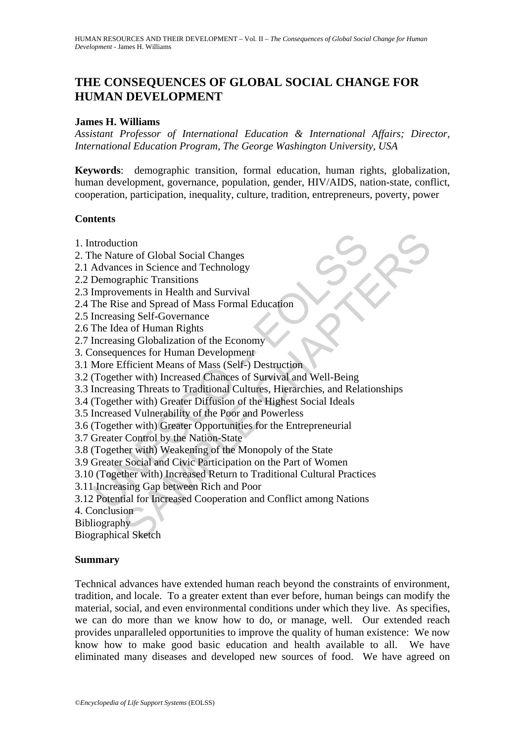# **THE CONSEQUENCES OF GLOBAL SOCIAL CHANGE FOR HUMAN DEVELOPMENT**

### **James H. Williams**

*Assistant Professor of International Education & International Affairs; Director, International Education Program, The George Washington University, USA* 

**Keywords**: demographic transition, formal education, human rights, globalization, human development, governance, population, gender, HIV/AIDS, nation-state, conflict, cooperation, participation, inequality, culture, tradition, entrepreneurs, poverty, power

# **Contents**

- 1. Introduction
- 2. The Nature of Global Social Changes
- 2.1 Advances in Science and Technology
- 2.2 Demographic Transitions
- 2.3 Improvements in Health and Survival
- 2.4 The Rise and Spread of Mass Formal Education
- 2.5 Increasing Self-Governance
- 2.6 The Idea of Human Rights
- 2.7 Increasing Globalization of the Economy
- 3. Consequences for Human Development
- 3.1 More Efficient Means of Mass (Self-) Destruction
- 3.2 (Together with) Increased Chances of Survival and Well-Being
- ntroduction<br>
he Nature of Global Social Changes<br>
Advances in Science and Technology<br>
Demographic Transitions<br>
Improvements in Health and Survival<br>
Ime Rise and Spread of Mass Formal Education<br>
Increasing Self-Governance<br>
I tion<br>
ure of Global Social Changes<br>
raphic Transitions<br>
raphic Transitions<br>
raphic Transitions<br>
ements in Health and Survival<br>
se and Spread of Mass Formal Education<br>
ing Self-Governance<br>
are with) Increased Chances of Sur 3.3 Increasing Threats to Traditional Cultures, Hierarchies, and Relationships
- 3.4 (Together with) Greater Diffusion of the Highest Social Ideals
- 3.5 Increased Vulnerability of the Poor and Powerless
- 3.6 (Together with) Greater Opportunities for the Entrepreneurial
- 3.7 Greater Control by the Nation-State
- 3.8 (Together with) Weakening of the Monopoly of the State
- 3.9 Greater Social and Civic Participation on the Part of Women
- 3.10 (Together with) Increased Return to Traditional Cultural Practices
- 3.11 Increasing Gap between Rich and Poor
- 3.12 Potential for Increased Cooperation and Conflict among Nations
- 4. Conclusion
- Bibliography

Biographical Sketch

#### **Summary**

Technical advances have extended human reach beyond the constraints of environment, tradition, and locale. To a greater extent than ever before, human beings can modify the material, social, and even environmental conditions under which they live. As specifies, we can do more than we know how to do, or manage, well. Our extended reach provides unparalleled opportunities to improve the quality of human existence: We now know how to make good basic education and health available to all. We have eliminated many diseases and developed new sources of food. We have agreed on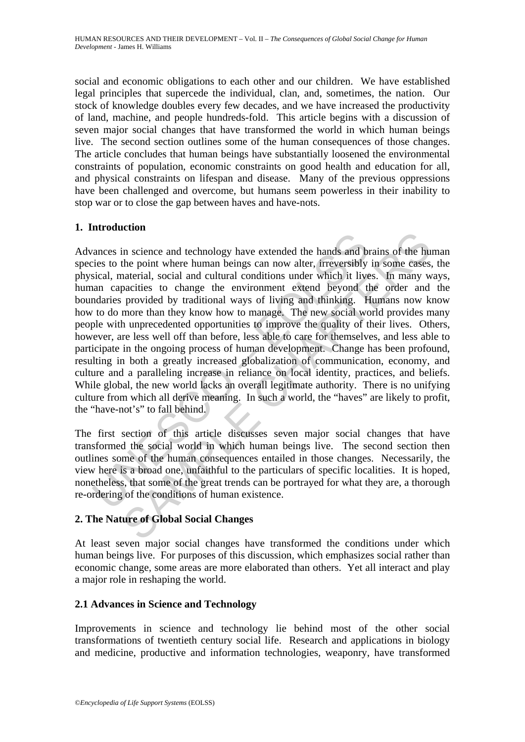social and economic obligations to each other and our children. We have established legal principles that supercede the individual, clan, and, sometimes, the nation. Our stock of knowledge doubles every few decades, and we have increased the productivity of land, machine, and people hundreds-fold. This article begins with a discussion of seven major social changes that have transformed the world in which human beings live. The second section outlines some of the human consequences of those changes. The article concludes that human beings have substantially loosened the environmental constraints of population, economic constraints on good health and education for all, and physical constraints on lifespan and disease. Many of the previous oppressions have been challenged and overcome, but humans seem powerless in their inability to stop war or to close the gap between haves and have-nots.

# **1. Introduction**

rances in science and technology have extended the hands and biesics to the point where human beings can now alter, fireversibly sized, material, social and cultural conditions under which it lives una capacities to change The specific and technology have extended the hands and brains of the hundom in science and technology have extended the hands and brains of the hundom technology that provided by traditional ways of living and thinking. H Advances in science and technology have extended the hands and brains of the human species to the point where human beings can now alter, irreversibly in some cases, the physical, material, social and cultural conditions under which it lives. In many ways, human capacities to change the environment extend beyond the order and the boundaries provided by traditional ways of living and thinking. Humans now know how to do more than they know how to manage. The new social world provides many people with unprecedented opportunities to improve the quality of their lives. Others, however, are less well off than before, less able to care for themselves, and less able to participate in the ongoing process of human development. Change has been profound, resulting in both a greatly increased globalization of communication, economy, and culture and a paralleling increase in reliance on local identity, practices, and beliefs. While global, the new world lacks an overall legitimate authority. There is no unifying culture from which all derive meaning. In such a world, the "haves" are likely to profit, the "have-not's" to fall behind.

The first section of this article discusses seven major social changes that have transformed the social world in which human beings live. The second section then outlines some of the human consequences entailed in those changes. Necessarily, the view here is a broad one, unfaithful to the particulars of specific localities. It is hoped, nonetheless, that some of the great trends can be portrayed for what they are, a thorough re-ordering of the conditions of human existence.

# **2. The Nature of Global Social Changes**

At least seven major social changes have transformed the conditions under which human beings live. For purposes of this discussion, which emphasizes social rather than economic change, some areas are more elaborated than others. Yet all interact and play a major role in reshaping the world.

# **2.1 Advances in Science and Technology**

Improvements in science and technology lie behind most of the other social transformations of twentieth century social life. Research and applications in biology and medicine, productive and information technologies, weaponry, have transformed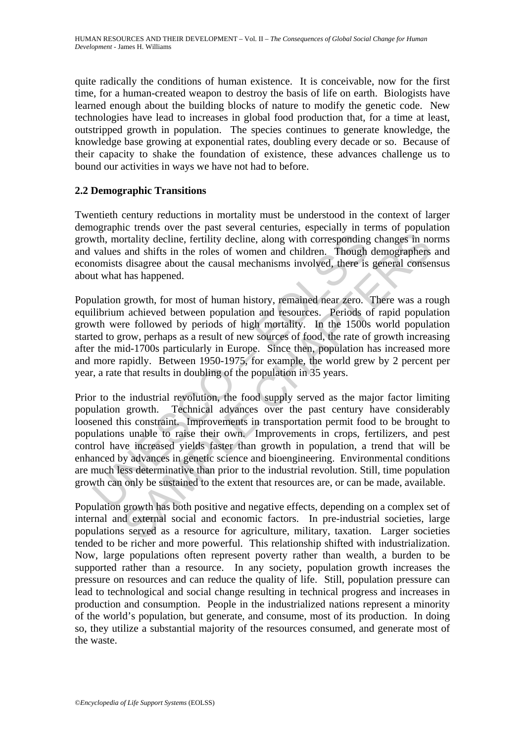quite radically the conditions of human existence. It is conceivable, now for the first time, for a human-created weapon to destroy the basis of life on earth. Biologists have learned enough about the building blocks of nature to modify the genetic code. New technologies have lead to increases in global food production that, for a time at least, outstripped growth in population. The species continues to generate knowledge, the knowledge base growing at exponential rates, doubling every decade or so. Because of their capacity to shake the foundation of existence, these advances challenge us to bound our activities in ways we have not had to before.

# **2.2 Demographic Transitions**

Twentieth century reductions in mortality must be understood in the context of larger demographic trends over the past several centuries, especially in terms of population growth, mortality decline, fertility decline, along with corresponding changes in norms and values and shifts in the roles of women and children. Though demographers and economists disagree about the causal mechanisms involved, there is general consensus about what has happened.

Population growth, for most of human history, remained near zero. There was a rough equilibrium achieved between population and resources. Periods of rapid population growth were followed by periods of high mortality. In the 1500s world population started to grow, perhaps as a result of new sources of food, the rate of growth increasing after the mid-1700s particularly in Europe. Since then, population has increased more and more rapidly. Between 1950-1975, for example, the world grew by 2 percent per year, a rate that results in doubling of the population in 35 years.

wth, mortality decline, fertility decline, along with corresponding<br>values and shifts in the roles of women and children. Though<br>nomists disagree about the causal mechanisms involved, there is<br>at what has happened.<br>Ulation ording decline, fertility decline, along with corresponding changes in not<br>and shifts in the roles of women and children. Though demographers<br>disagree about the causal mechanisms involved, there is general conses<br>has happe Prior to the industrial revolution, the food supply served as the major factor limiting population growth. Technical advances over the past century have considerably loosened this constraint. Improvements in transportation permit food to be brought to populations unable to raise their own. Improvements in crops, fertilizers, and pest control have increased yields faster than growth in population, a trend that will be enhanced by advances in genetic science and bioengineering. Environmental conditions are much less determinative than prior to the industrial revolution. Still, time population growth can only be sustained to the extent that resources are, or can be made, available.

Population growth has both positive and negative effects, depending on a complex set of internal and external social and economic factors. In pre-industrial societies, large populations served as a resource for agriculture, military, taxation. Larger societies tended to be richer and more powerful. This relationship shifted with industrialization. Now, large populations often represent poverty rather than wealth, a burden to be supported rather than a resource. In any society, population growth increases the pressure on resources and can reduce the quality of life. Still, population pressure can lead to technological and social change resulting in technical progress and increases in production and consumption. People in the industrialized nations represent a minority of the world's population, but generate, and consume, most of its production. In doing so, they utilize a substantial majority of the resources consumed, and generate most of the waste.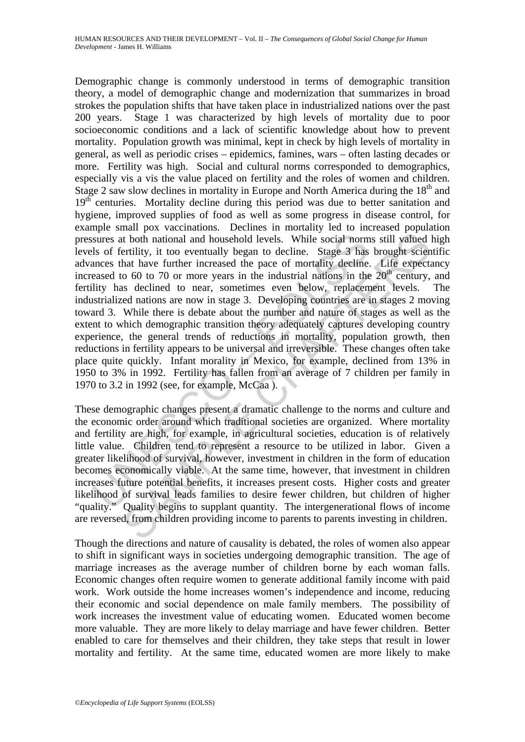sures at both national and household levels. While social norm<br>sures at both national and household levels. While social norm<br>ls of fertility, it too eventually began to decline. Stage 3 has<br>increased to 60 to 70 or more In the three is determined and boushold levels. While social norms still valued level<br>tertility, it too eventually began to decline. Stage 3 has brought scien<br>hat have further increased the pace of mortality decline. Life Demographic change is commonly understood in terms of demographic transition theory, a model of demographic change and modernization that summarizes in broad strokes the population shifts that have taken place in industrialized nations over the past 200 years. Stage 1 was characterized by high levels of mortality due to poor socioeconomic conditions and a lack of scientific knowledge about how to prevent mortality. Population growth was minimal, kept in check by high levels of mortality in general, as well as periodic crises – epidemics, famines, wars – often lasting decades or more. Fertility was high. Social and cultural norms corresponded to demographics, especially vis a vis the value placed on fertility and the roles of women and children. Stage 2 saw slow declines in mortality in Europe and North America during the  $18<sup>th</sup>$  and 19<sup>th</sup> centuries. Mortality decline during this period was due to better sanitation and hygiene, improved supplies of food as well as some progress in disease control, for example small pox vaccinations. Declines in mortality led to increased population pressures at both national and household levels. While social norms still valued high levels of fertility, it too eventually began to decline. Stage 3 has brought scientific advances that have further increased the pace of mortality decline. Life expectancy increased to 60 to 70 or more years in the industrial nations in the  $20<sup>th</sup>$  century, and fertility has declined to near, sometimes even below, replacement levels. The industrialized nations are now in stage 3. Developing countries are in stages 2 moving toward 3. While there is debate about the number and nature of stages as well as the extent to which demographic transition theory adequately captures developing country experience, the general trends of reductions in mortality, population growth, then reductions in fertility appears to be universal and irreversible. These changes often take place quite quickly. Infant morality in Mexico, for example, declined from 13% in 1950 to 3% in 1992. Fertility has fallen from an average of 7 children per family in 1970 to 3.2 in 1992 (see, for example, McCaa ).

These demographic changes present a dramatic challenge to the norms and culture and the economic order around which traditional societies are organized. Where mortality and fertility are high, for example, in agricultural societies, education is of relatively little value. Children tend to represent a resource to be utilized in labor. Given a greater likelihood of survival, however, investment in children in the form of education becomes economically viable. At the same time, however, that investment in children increases future potential benefits, it increases present costs. Higher costs and greater likelihood of survival leads families to desire fewer children, but children of higher "quality." Quality begins to supplant quantity. The intergenerational flows of income are reversed, from children providing income to parents to parents investing in children.

Though the directions and nature of causality is debated, the roles of women also appear to shift in significant ways in societies undergoing demographic transition. The age of marriage increases as the average number of children borne by each woman falls. Economic changes often require women to generate additional family income with paid work. Work outside the home increases women's independence and income, reducing their economic and social dependence on male family members. The possibility of work increases the investment value of educating women. Educated women become more valuable. They are more likely to delay marriage and have fewer children. Better enabled to care for themselves and their children, they take steps that result in lower mortality and fertility. At the same time, educated women are more likely to make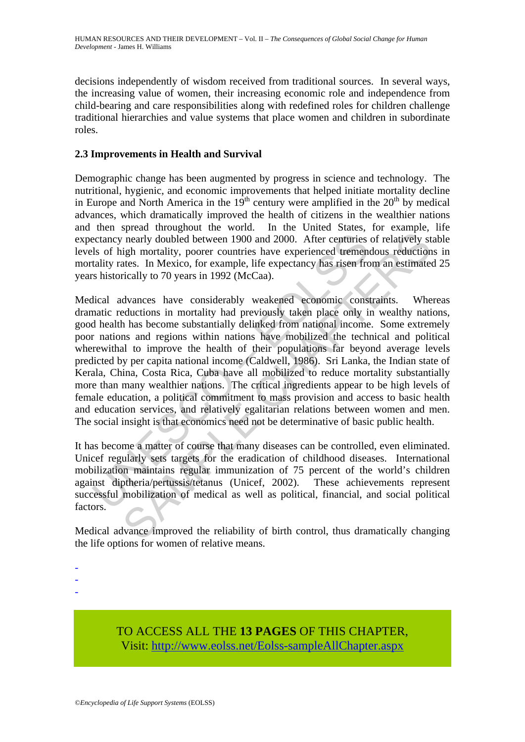decisions independently of wisdom received from traditional sources. In several ways, the increasing value of women, their increasing economic role and independence from child-bearing and care responsibilities along with redefined roles for children challenge traditional hierarchies and value systems that place women and children in subordinate roles.

# **2.3 Improvements in Health and Survival**

Demographic change has been augmented by progress in science and technology. The nutritional, hygienic, and economic improvements that helped initiate mortality decline in Europe and North America in the  $19<sup>th</sup>$  century were amplified in the  $20<sup>th</sup>$  by medical advances, which dramatically improved the health of citizens in the wealthier nations and then spread throughout the world. In the United States, for example, life expectancy nearly doubled between 1900 and 2000. After centuries of relatively stable levels of high mortality, poorer countries have experienced tremendous reductions in mortality rates. In Mexico, for example, life expectancy has risen from an estimated 25 years historically to 70 years in 1992 (McCaa).

ectancy nearly doubled between 1900 and 2000. After centuries<br>ls of high mortality, poorer countries have experienced tremenatality rates. In Mexico, for example, life expectancy has risen frc<br>shistorically to 70 years in rearly doubled between 1900 and 2000. After centuries of relatively st<br>rearly doubled between 1900 and 2000. After centuries of relatively st<br>igh mortality, poorer countries have experienced tremendous reduction<br>trically t Medical advances have considerably weakened economic constraints. Whereas dramatic reductions in mortality had previously taken place only in wealthy nations, good health has become substantially delinked from national income. Some extremely poor nations and regions within nations have mobilized the technical and political wherewithal to improve the health of their populations far beyond average levels predicted by per capita national income (Caldwell, 1986). Sri Lanka, the Indian state of Kerala, China, Costa Rica, Cuba have all mobilized to reduce mortality substantially more than many wealthier nations. The critical ingredients appear to be high levels of female education, a political commitment to mass provision and access to basic health and education services, and relatively egalitarian relations between women and men. The social insight is that economics need not be determinative of basic public health.

It has become a matter of course that many diseases can be controlled, even eliminated. Unicef regularly sets targets for the eradication of childhood diseases. International mobilization maintains regular immunization of 75 percent of the world's children against diptheria/pertussis/tetanus (Unicef, 2002). These achievements represent successful mobilization of medical as well as political, financial, and social political factors.

Medical advance improved the reliability of birth control, thus dramatically changing the life options for women of relative means.

-

-

-

TO ACCESS ALL THE **13 PAGES** OF THIS CHAPTER, Visit: [http://www.eolss.net/Eolss-sampleAllChapter.aspx](https://www.eolss.net/ebooklib/sc_cart.aspx?File=E1-10-05-02)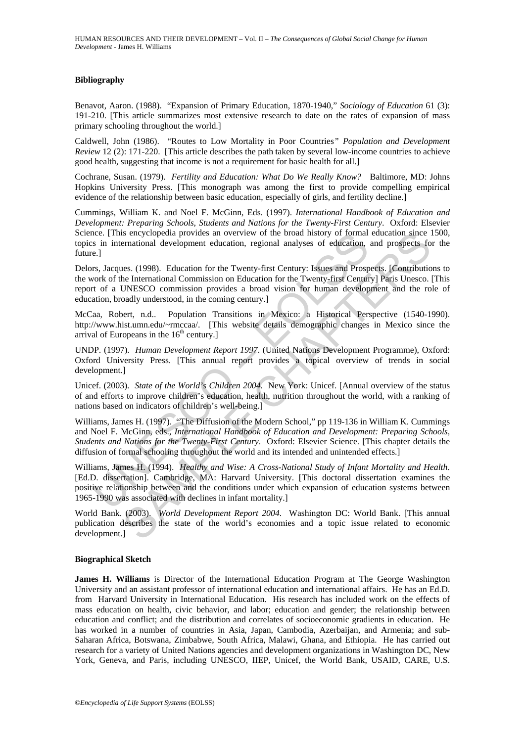#### **Bibliography**

Benavot, Aaron. (1988). "Expansion of Primary Education, 1870-1940," *Sociology of Education* 61 (3): 191-210. [This article summarizes most extensive research to date on the rates of expansion of mass primary schooling throughout the world.]

Caldwell, John (1986). "Routes to Low Mortality in Poor Countries*" Population and Development Review* 12 (2): 171-220. [This article describes the path taken by several low-income countries to achieve good health, suggesting that income is not a requirement for basic health for all.]

Cochrane, Susan. (1979). *Fertility and Education: What Do We Really Know?* Baltimore, MD: Johns Hopkins University Press. [This monograph was among the first to provide compelling empirical evidence of the relationship between basic education, especially of girls, and fertility decline.]

Cummings, William K. and Noel F. McGinn, Eds. (1997). *International Handbook of Education and Development: Preparing Schools, Students and Nations for the Twenty-First Century*. Oxford: Elsevier Science. [This encyclopedia provides an overview of the broad history of formal education since 1500, topics in international development education, regional analyses of education, and prospects for the future.]

ice. [This encyclopedia provides an overview of the broad history of formal<br>
is in international development education, regional analyses of education,<br>
e.]<br>
e.]<br>
e.]<br>
e. <br>
e. <br>
e. <br>
e. <br>
e. <br>
e. <br>
e. <br>
development educati is encyclopedia provides an overview of the broad history of formal education since<br>entational development education, regional analyses of education, and prospects fo<br>es. (1998). Education for the Twenty-first Century: Is Delors, Jacques. (1998). Education for the Twenty-first Century: Issues and Prospects. [Contributions to the work of the International Commission on Education for the Twenty-first Century] Paris Unesco. [This report of a UNESCO commission provides a broad vision for human development and the role of education, broadly understood, in the coming century.]

McCaa, Robert, n.d.. Population Transitions in Mexico: a Historical Perspective (1540-1990). http://www.hist.umn.edu/~rmccaa/. [This website details demographic changes in Mexico since the arrival of Europeans in the  $16<sup>th</sup>$  century.]

UNDP. (1997). *Human Development Report 1997*. (United Nations Development Programme), Oxford: Oxford University Press. [This annual report provides a topical overview of trends in social development.]

Unicef. (2003). *State of the World's Children 2004*. New York: Unicef. [Annual overview of the status of and efforts to improve children's education, health, nutrition throughout the world, with a ranking of nations based on indicators of children's well-being.]

Williams, James H. (1997). "The Diffusion of the Modern School," pp 119-136 in William K. Cummings and Noel F. McGinn, eds., *International Handbook of Education and Development: Preparing Schools, Students and Nations for the Twenty-First Century*. Oxford: Elsevier Science. [This chapter details the diffusion of formal schooling throughout the world and its intended and unintended effects.]

Williams, James H. (1994). *Healthy and Wise: A Cross-National Study of Infant Mortality and Health*. [Ed.D. dissertation]. Cambridge, MA: Harvard University. [This doctoral dissertation examines the positive relationship between and the conditions under which expansion of education systems between 1965-1990 was associated with declines in infant mortality.]

World Bank. (2003). *World Development Report 2004*. Washington DC: World Bank. [This annual publication describes the state of the world's economies and a topic issue related to economic development.]

#### **Biographical Sketch**

**James H. Williams** is Director of the International Education Program at The George Washington University and an assistant professor of international education and international affairs. He has an Ed.D. from Harvard University in International Education. His research has included work on the effects of mass education on health, civic behavior, and labor; education and gender; the relationship between education and conflict; and the distribution and correlates of socioeconomic gradients in education. He has worked in a number of countries in Asia, Japan, Cambodia, Azerbaijan, and Armenia; and sub-Saharan Africa, Botswana, Zimbabwe, South Africa, Malawi, Ghana, and Ethiopia. He has carried out research for a variety of United Nations agencies and development organizations in Washington DC, New York, Geneva, and Paris, including UNESCO, IIEP, Unicef, the World Bank, USAID, CARE, U.S.